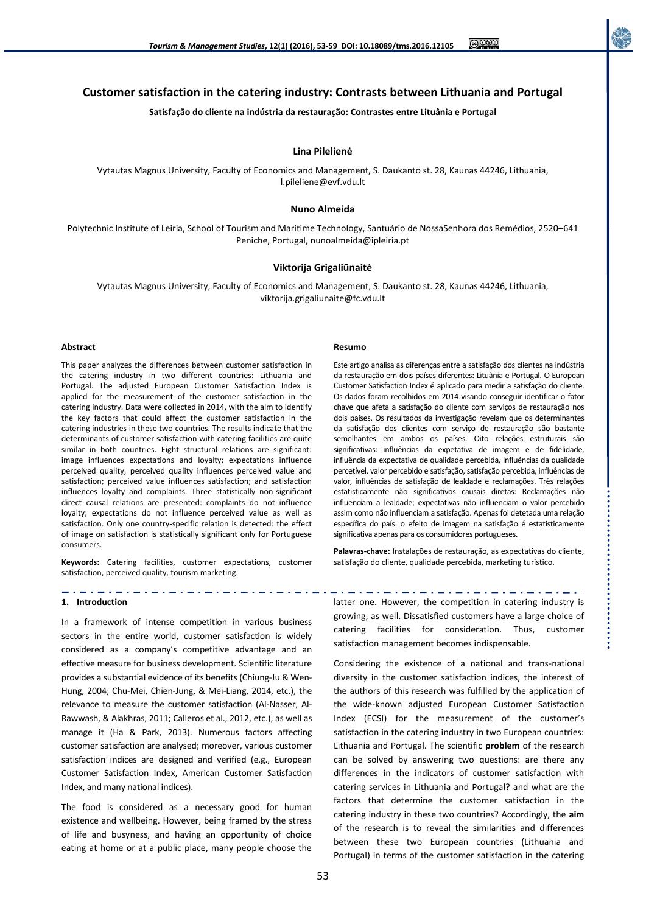**Customer satisfaction in the catering industry: Contrasts between Lithuania and Portugal Satisfação do cliente na indústria da restauração: Contrastes entre Lituânia e Portugal**

### **Lina Pilelienė**

Vytautas Magnus University, Faculty of Economics and Management, S. Daukanto st. 28, Kaunas 44246, Lithuania, l.pileliene@evf.vdu.lt

### **Nuno Almeida**

Polytechnic Institute of Leiria, School of Tourism and Maritime Technology, Santuário de NossaSenhora dos Remédios, 2520–641 Peniche, Portugal, nunoalmeida@ipleiria.pt

## **Viktorija Grigaliūnaitė**

Vytautas Magnus University, Faculty of Economics and Management, S. Daukanto st. 28, Kaunas 44246, Lithuania, viktorija.grigaliunaite@fc.vdu.lt

### **Abstract**

This paper analyzes the differences between customer satisfaction in the catering industry in two different countries: Lithuania and Portugal. The adjusted European Customer Satisfaction Index is applied for the measurement of the customer satisfaction in the catering industry. Data were collected in 2014, with the aim to identify the key factors that could affect the customer satisfaction in the catering industries in these two countries. The results indicate that the determinants of customer satisfaction with catering facilities are quite similar in both countries. Eight structural relations are significant: image influences expectations and loyalty; expectations influence perceived quality; perceived quality influences perceived value and satisfaction; perceived value influences satisfaction; and satisfaction influences loyalty and complaints. Three statistically non-significant direct causal relations are presented: complaints do not influence loyalty; expectations do not influence perceived value as well as satisfaction. Only one country-specific relation is detected: the effect of image on satisfaction is statistically significant only for Portuguese consumers.

**Keywords:** Catering facilities, customer expectations, customer satisfaction, perceived quality, tourism marketing.

------------------------------------

#### **1. Introduction**

In a framework of intense competition in various business sectors in the entire world, customer satisfaction is widely considered as a company's competitive advantage and an effective measure for business development. Scientific literature provides a substantial evidence of its benefits (Chiung-Ju & Wen-Hung, 2004; Chu-Mei, Chien-Jung, & Mei-Liang, 2014, etc.), the relevance to measure the customer satisfaction (Al-Nasser, Al-Rawwash, & Alakhras, 2011; Calleros et al., 2012, etc.), as well as manage it (Ha & Park, 2013). Numerous factors affecting customer satisfaction are analysed; moreover, various customer satisfaction indices are designed and verified (e.g., European Customer Satisfaction Index, American Customer Satisfaction Index, and many national indices).

The food is considered as a necessary good for human existence and wellbeing. However, being framed by the stress of life and busyness, and having an opportunity of choice eating at home or at a public place, many people choose the

#### **Resumo**

Este artigo analisa as diferenças entre a satisfação dos clientes na indústria da restauração em dois países diferentes: Lituânia e Portugal. O European Customer Satisfaction Index é aplicado para medir a satisfação do cliente. Os dados foram recolhidos em 2014 visando conseguir identificar o fator chave que afeta a satisfação do cliente com serviços de restauração nos dois países. Os resultados da investigação revelam que os determinantes da satisfação dos clientes com serviço de restauração são bastante semelhantes em ambos os países. Oito relações estruturais são significativas: influências da expetativa de imagem e de fidelidade, influência da expectativa de qualidade percebida, influências da qualidade percetível, valor percebido e satisfação, satisfação percebida, influências de valor, influências de satisfação de lealdade e reclamações. Três relações estatisticamente não significativos causais diretas: Reclamações não influenciam a lealdade; expectativas não influenciam o valor percebido assim como não influenciam a satisfação. Apenas foi detetada uma relação específica do país: o efeito de imagem na satisfação é estatisticamente significativa apenas para os consumidores portugueses.

**Palavras-chave:** Instalações de restauração, as expectativas do cliente, satisfação do cliente, qualidade percebida, marketing turístico.

latter one. However, the competition in catering industry is growing, as well. Dissatisfied customers have a large choice of catering facilities for consideration. Thus, customer satisfaction management becomes indispensable.

. . . . .

. . . . . . .

. . . 2020

Considering the existence of a national and trans-national diversity in the customer satisfaction indices, the interest of the authors of this research was fulfilled by the application of the wide-known adjusted European Customer Satisfaction Index (ECSI) for the measurement of the customer's satisfaction in the catering industry in two European countries: Lithuania and Portugal. The scientific **problem** of the research can be solved by answering two questions: are there any differences in the indicators of customer satisfaction with catering services in Lithuania and Portugal? and what are the factors that determine the customer satisfaction in the catering industry in these two countries? Accordingly, the **aim** of the research is to reveal the similarities and differences between these two European countries (Lithuania and Portugal) in terms of the customer satisfaction in the catering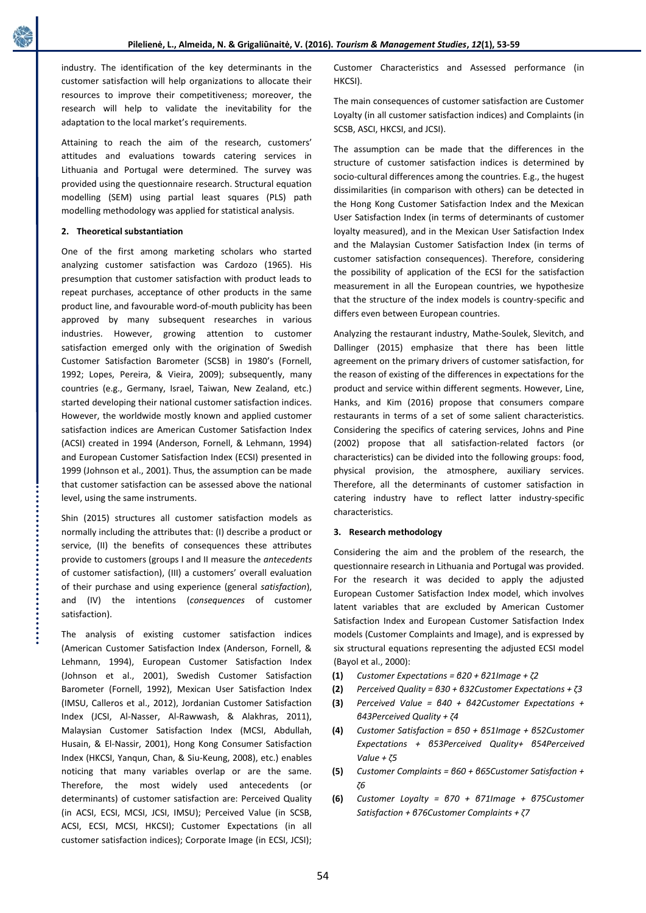industry. The identification of the key determinants in the customer satisfaction will help organizations to allocate their resources to improve their competitiveness; moreover, the research will help to validate the inevitability for the adaptation to the local market's requirements.

Attaining to reach the aim of the research, customers' attitudes and evaluations towards catering services in Lithuania and Portugal were determined. The survey was provided using the questionnaire research. Structural equation modelling (SEM) using partial least squares (PLS) path modelling methodology was applied for statistical analysis.

## **2. Theoretical substantiation**

One of the first among marketing scholars who started analyzing customer satisfaction was Cardozo (1965). His presumption that customer satisfaction with product leads to repeat purchases, acceptance of other products in the same product line, and favourable word-of-mouth publicity has been approved by many subsequent researches in various industries. However, growing attention to customer satisfaction emerged only with the origination of Swedish Customer Satisfaction Barometer (SCSB) in 1980's (Fornell, 1992; Lopes, Pereira, & Vieira, 2009); subsequently, many countries (e.g., Germany, Israel, Taiwan, New Zealand, etc.) started developing their national customer satisfaction indices. However, the worldwide mostly known and applied customer satisfaction indices are American Customer Satisfaction Index (ACSI) created in 1994 (Anderson, Fornell, & Lehmann, 1994) and European Customer Satisfaction Index (ECSI) presented in 1999 (Johnson et al., 2001). Thus, the assumption can be made that customer satisfaction can be assessed above the national level, using the same instruments.

Shin (2015) structures all customer satisfaction models as normally including the attributes that: (I) describe a product or service, (II) the benefits of consequences these attributes provide to customers (groups I and II measure the *antecedents* of customer satisfaction), (III) a customers' overall evaluation of their purchase and using experience (general *satisfaction*), and (IV) the intentions (*consequences* of customer satisfaction).

The analysis of existing customer satisfaction indices (American Customer Satisfaction Index (Anderson, Fornell, & Lehmann, 1994), European Customer Satisfaction Index (Johnson et al., 2001), Swedish Customer Satisfaction Barometer (Fornell, 1992), Mexican User Satisfaction Index (IMSU, Calleros et al., 2012), Jordanian Customer Satisfaction Index (JCSI, Al-Nasser, Al-Rawwash, & Alakhras, 2011), Malaysian Customer Satisfaction Index (MCSI, Abdullah, Husain, & El-Nassir, 2001), Hong Kong Consumer Satisfaction Index (HKCSI, Yanqun, Chan, & Siu-Keung, 2008), etc.) enables noticing that many variables overlap or are the same. Therefore, the most widely used antecedents (or determinants) of customer satisfaction are: Perceived Quality (in ACSI, ECSI, MCSI, JCSI, IMSU); Perceived Value (in SCSB, ACSI, ECSI, MCSI, HKCSI); Customer Expectations (in all customer satisfaction indices); Corporate Image (in ECSI, JCSI);

Customer Characteristics and Assessed performance (in HKCSI).

The main consequences of customer satisfaction are Customer Loyalty (in all customer satisfaction indices) and Complaints (in SCSB, ASCI, HKCSI, and JCSI).

The assumption can be made that the differences in the structure of customer satisfaction indices is determined by socio-cultural differences among the countries. E.g., the hugest dissimilarities (in comparison with others) can be detected in the Hong Kong Customer Satisfaction Index and the Mexican User Satisfaction Index (in terms of determinants of customer loyalty measured), and in the Mexican User Satisfaction Index and the Malaysian Customer Satisfaction Index (in terms of customer satisfaction consequences). Therefore, considering the possibility of application of the ECSI for the satisfaction measurement in all the European countries, we hypothesize that the structure of the index models is country-specific and differs even between European countries.

Analyzing the restaurant industry, Mathe-Soulek, Slevitch, and Dallinger (2015) emphasize that there has been little agreement on the primary drivers of customer satisfaction, for the reason of existing of the differences in expectations for the product and service within different segments. However, Line, Hanks, and Kim (2016) propose that consumers compare restaurants in terms of a set of some salient characteristics. Considering the specifics of catering services, Johns and Pine (2002) propose that all satisfaction-related factors (or characteristics) can be divided into the following groups: food, physical provision, the atmosphere, auxiliary services. Therefore, all the determinants of customer satisfaction in catering industry have to reflect latter industry-specific characteristics.

### **3. Research methodology**

Considering the aim and the problem of the research, the questionnaire research in Lithuania and Portugal was provided. For the research it was decided to apply the adjusted European Customer Satisfaction Index model, which involves latent variables that are excluded by American Customer Satisfaction Index and European Customer Satisfaction Index models (Customer Complaints and Image), and is expressed by six structural equations representing the adjusted ECSI model (Bayol et al., 2000):

- **(1)** *Customer Expectations = β20 + β21Image + ζ2*
- **(2)** *Perceived Quality = β30 + β32Customer Expectations + ζ3*
- **(3)** *Perceived Value = β40 + β42Customer Expectations + β43Perceived Quality + ζ4*
- **(4)** *Customer Satisfaction = β50 + β51Image + β52Customer Expectations + β53Perceived Quality+ β54Perceived Value + ζ5*
- **(5)** *Customer Complaints = β60 + β65Customer Satisfaction + ζ6*
- **(6)** *Customer Loyalty = β70 + β71Image + β75Customer Satisfaction + β76Customer Complaints + ζ7*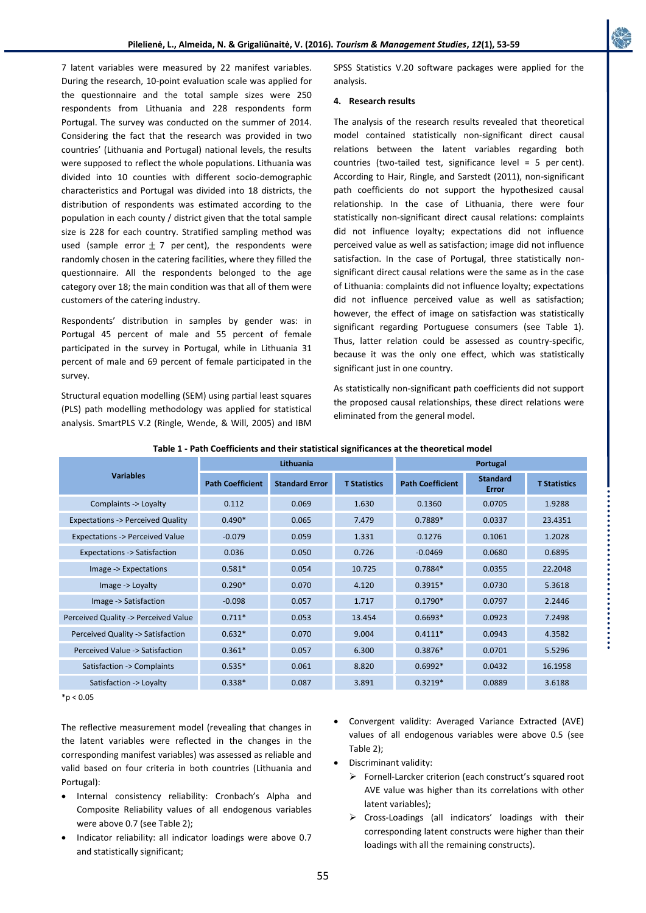7 latent variables were measured by 22 manifest variables. During the research, 10-point evaluation scale was applied for the questionnaire and the total sample sizes were 250 respondents from Lithuania and 228 respondents form Portugal. The survey was conducted on the summer of 2014. Considering the fact that the research was provided in two countries' (Lithuania and Portugal) national levels, the results were supposed to reflect the whole populations. Lithuania was divided into 10 counties with different socio-demographic characteristics and Portugal was divided into 18 districts, the distribution of respondents was estimated according to the population in each county / district given that the total sample size is 228 for each country. Stratified sampling method was used (sample error  $\pm$  7 per cent), the respondents were randomly chosen in the catering facilities, where they filled the questionnaire. All the respondents belonged to the age category over 18; the main condition was that all of them were customers of the catering industry.

Respondents' distribution in samples by gender was: in Portugal 45 percent of male and 55 percent of female participated in the survey in Portugal, while in Lithuania 31 percent of male and 69 percent of female participated in the survey.

Structural equation modelling (SEM) using partial least squares (PLS) path modelling methodology was applied for statistical analysis. SmartPLS V.2 (Ringle, Wende, & Will, 2005) and IBM SPSS Statistics V.20 software packages were applied for the analysis.

## **4. Research results**

The analysis of the research results revealed that theoretical model contained statistically non-significant direct causal relations between the latent variables regarding both countries (two-tailed test, significance level = 5 per cent). According to Hair, Ringle, and Sarstedt (2011), non-significant path coefficients do not support the hypothesized causal relationship. In the case of Lithuania, there were four statistically non-significant direct causal relations: complaints did not influence loyalty; expectations did not influence perceived value as well as satisfaction; image did not influence satisfaction. In the case of Portugal, three statistically nonsignificant direct causal relations were the same as in the case of Lithuania: complaints did not influence loyalty; expectations did not influence perceived value as well as satisfaction; however, the effect of image on satisfaction was statistically significant regarding Portuguese consumers (see Table 1). Thus, latter relation could be assessed as country-specific, because it was the only one effect, which was statistically significant just in one country.

As statistically non-significant path coefficients did not support the proposed causal relationships, these direct relations were eliminated from the general model.

|                                             |                         | Lithuania             |                     | Portugal                |                                 |                     |
|---------------------------------------------|-------------------------|-----------------------|---------------------|-------------------------|---------------------------------|---------------------|
| <b>Variables</b>                            | <b>Path Coefficient</b> | <b>Standard Error</b> | <b>T</b> Statistics | <b>Path Coefficient</b> | <b>Standard</b><br><b>Error</b> | <b>T</b> Statistics |
| Complaints -> Loyalty                       | 0.112                   | 0.069                 | 1.630               | 0.1360                  | 0.0705                          | 1.9288              |
| <b>Expectations -&gt; Perceived Quality</b> | $0.490*$                | 0.065                 | 7.479               | $0.7889*$               | 0.0337                          | 23.4351             |
| <b>Expectations -&gt; Perceived Value</b>   | $-0.079$                | 0.059                 | 1.331               | 0.1276                  | 0.1061                          | 1.2028              |
| <b>Expectations -&gt; Satisfaction</b>      | 0.036                   | 0.050                 | 0.726               | $-0.0469$               | 0.0680                          | 0.6895              |
| Image -> Expectations                       | $0.581*$                | 0.054                 | 10.725              | $0.7884*$               | 0.0355                          | 22.2048             |
| Image -> Loyalty                            | $0.290*$                | 0.070                 | 4.120               | $0.3915*$               | 0.0730                          | 5.3618              |
| Image -> Satisfaction                       | $-0.098$                | 0.057                 | 1.717               | $0.1790*$               | 0.0797                          | 2.2446              |
| Perceived Quality -> Perceived Value        | $0.711*$                | 0.053                 | 13.454              | $0.6693*$               | 0.0923                          | 7.2498              |
| Perceived Quality -> Satisfaction           | $0.632*$                | 0.070                 | 9.004               | $0.4111*$               | 0.0943                          | 4.3582              |
| Perceived Value -> Satisfaction             | $0.361*$                | 0.057                 | 6.300               | $0.3876*$               | 0.0701                          | 5.5296              |
| Satisfaction -> Complaints                  | $0.535*$                | 0.061                 | 8.820               | $0.6992*$               | 0.0432                          | 16.1958             |
| Satisfaction -> Loyalty                     | $0.338*$                | 0.087                 | 3.891               | $0.3219*$               | 0.0889                          | 3.6188              |

## **Table 1 - Path Coefficients and their statistical significances at the theoretical model**

 $*p < 0.05$ 

The reflective measurement model (revealing that changes in the latent variables were reflected in the changes in the corresponding manifest variables) was assessed as reliable and valid based on four criteria in both countries (Lithuania and Portugal):

- Internal consistency reliability: Cronbach's Alpha and Composite Reliability values of all endogenous variables were above 0.7 (see Table 2);
- Indicator reliability: all indicator loadings were above 0.7 and statistically significant;
- Convergent validity: Averaged Variance Extracted (AVE) values of all endogenous variables were above 0.5 (see Table 2);
- Discriminant validity:
	- Fornell-Larcker criterion (each construct's squared root AVE value was higher than its correlations with other latent variables);
	- Cross-Loadings (all indicators' loadings with their corresponding latent constructs were higher than their loadings with all the remaining constructs).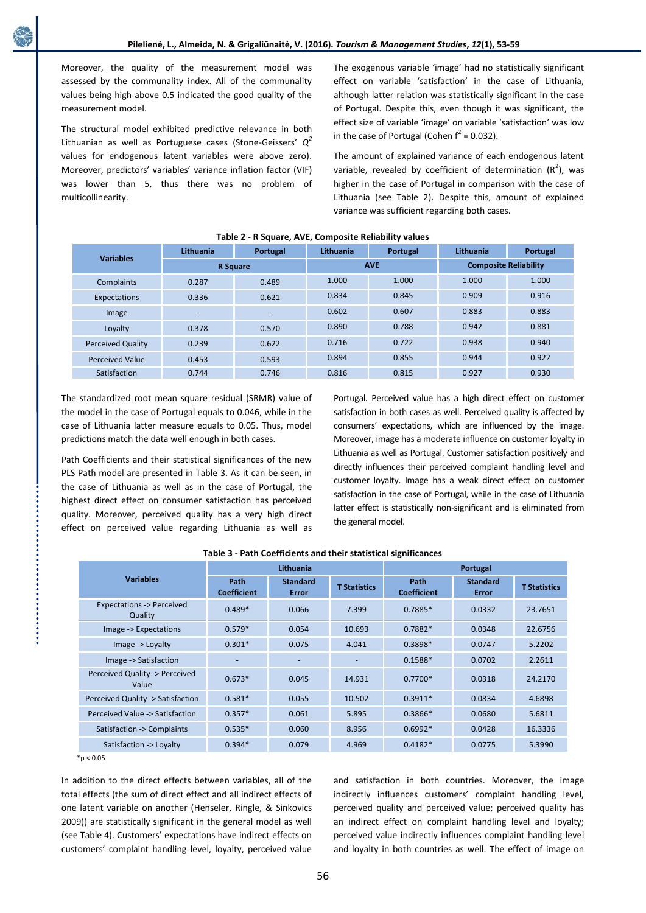Moreover, the quality of the measurement model was assessed by the communality index. All of the communality values being high above 0.5 indicated the good quality of the measurement model.

The structural model exhibited predictive relevance in both Lithuanian as well as Portuguese cases (Stone-Geissers' *Q 2*  values for endogenous latent variables were above zero). Moreover, predictors' variables' variance inflation factor (VIF) was lower than 5, thus there was no problem of multicollinearity.

The exogenous variable 'image' had no statistically significant effect on variable 'satisfaction' in the case of Lithuania, although latter relation was statistically significant in the case of Portugal. Despite this, even though it was significant, the effect size of variable 'image' on variable 'satisfaction' was low in the case of Portugal (Cohen  $f^2 = 0.032$ ).

The amount of explained variance of each endogenous latent variable, revealed by coefficient of determination  $(R^2)$ , was higher in the case of Portugal in comparison with the case of Lithuania (see Table 2). Despite this, amount of explained variance was sufficient regarding both cases.

| <b>Variables</b>         | Lithuania       | Portugal | Lithuania | Portugal   | Lithuania                    | Portugal |  |
|--------------------------|-----------------|----------|-----------|------------|------------------------------|----------|--|
|                          | <b>R</b> Square |          |           | <b>AVE</b> | <b>Composite Reliability</b> |          |  |
| Complaints               | 0.287           | 0.489    | 1.000     | 1.000      | 1.000                        | 1.000    |  |
| Expectations             | 0.336           | 0.621    | 0.834     | 0.845      | 0.909                        | 0.916    |  |
| Image                    | -               | -        | 0.602     | 0.607      | 0.883                        | 0.883    |  |
| Loyalty                  | 0.378           | 0.570    | 0.890     | 0.788      | 0.942                        | 0.881    |  |
| <b>Perceived Quality</b> | 0.239           | 0.622    | 0.716     | 0.722      | 0.938                        | 0.940    |  |
| <b>Perceived Value</b>   | 0.453           | 0.593    | 0.894     | 0.855      | 0.944                        | 0.922    |  |
| Satisfaction             | 0.744           | 0.746    | 0.816     | 0.815      | 0.927                        | 0.930    |  |

### **Table 2 - R Square, AVE, Composite Reliability values**

The standardized root mean square residual (SRMR) value of the model in the case of Portugal equals to 0.046, while in the case of Lithuania latter measure equals to 0.05. Thus, model predictions match the data well enough in both cases.

Path Coefficients and their statistical significances of the new PLS Path model are presented in Table 3. As it can be seen, in the case of Lithuania as well as in the case of Portugal, the highest direct effect on consumer satisfaction has perceived quality. Moreover, perceived quality has a very high direct effect on perceived value regarding Lithuania as well as

Portugal. Perceived value has a high direct effect on customer satisfaction in both cases as well. Perceived quality is affected by consumers' expectations, which are influenced by the image. Moreover, image has a moderate influence on customer loyalty in Lithuania as well as Portugal. Customer satisfaction positively and directly influences their perceived complaint handling level and customer loyalty. Image has a weak direct effect on customer satisfaction in the case of Portugal, while in the case of Lithuania latter effect is statistically non-significant and is eliminated from the general model.

|                                                |                            | Lithuania                |                     | Portugal                   |                                 |                     |
|------------------------------------------------|----------------------------|--------------------------|---------------------|----------------------------|---------------------------------|---------------------|
| <b>Variables</b>                               | Path<br><b>Coefficient</b> | <b>Standard</b><br>Error | <b>T</b> Statistics | Path<br><b>Coefficient</b> | <b>Standard</b><br><b>Error</b> | <b>T Statistics</b> |
| <b>Expectations -&gt; Perceived</b><br>Quality | $0.489*$                   | 0.066                    | 7.399               | $0.7885*$                  | 0.0332                          | 23.7651             |
| Image -> Expectations                          | $0.579*$                   | 0.054                    | 10.693              | $0.7882*$                  | 0.0348                          | 22.6756             |
| Image -> Loyalty                               | $0.301*$                   | 0.075                    | 4.041               | $0.3898*$                  | 0.0747                          | 5.2202              |
| Image -> Satisfaction                          |                            |                          |                     | $0.1588*$                  | 0.0702                          | 2.2611              |
| Perceived Quality -> Perceived<br>Value        | $0.673*$                   | 0.045                    | 14.931              | $0.7700*$                  | 0.0318                          | 24.2170             |
| Perceived Quality -> Satisfaction              | $0.581*$                   | 0.055                    | 10.502              | $0.3911*$                  | 0.0834                          | 4.6898              |
| Perceived Value -> Satisfaction                | $0.357*$                   | 0.061                    | 5.895               | $0.3866*$                  | 0.0680                          | 5.6811              |
| Satisfaction -> Complaints                     | $0.535*$                   | 0.060                    | 8.956               | $0.6992*$                  | 0.0428                          | 16.3336             |
| Satisfaction -> Loyalty                        | $0.394*$                   | 0.079                    | 4.969               | $0.4182*$                  | 0.0775                          | 5.3990              |

## **Table 3 - Path Coefficients and their statistical significances**

 $*p < 0.05$ 

In addition to the direct effects between variables, all of the total effects (the sum of direct effect and all indirect effects of one latent variable on another (Henseler, Ringle, & Sinkovics 2009)) are statistically significant in the general model as well (see Table 4). Customers' expectations have indirect effects on customers' complaint handling level, loyalty, perceived value

and satisfaction in both countries. Moreover, the image indirectly influences customers' complaint handling level, perceived quality and perceived value; perceived quality has an indirect effect on complaint handling level and loyalty; perceived value indirectly influences complaint handling level and loyalty in both countries as well. The effect of image on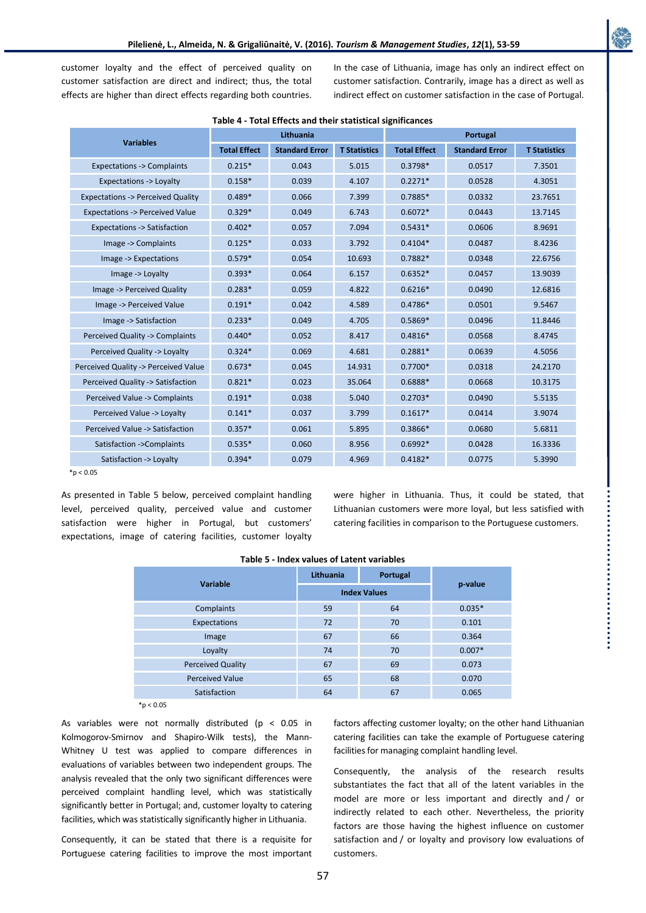customer loyalty and the effect of perceived quality on customer satisfaction are direct and indirect; thus, the total effects are higher than direct effects regarding both countries. In the case of Lithuania, image has only an indirect effect on customer satisfaction. Contrarily, image has a direct as well as indirect effect on customer satisfaction in the case of Portugal.

| <b>Variables</b>                            |                     | Lithuania             |                     | Portugal            |                       |                     |
|---------------------------------------------|---------------------|-----------------------|---------------------|---------------------|-----------------------|---------------------|
|                                             | <b>Total Effect</b> | <b>Standard Error</b> | <b>T Statistics</b> | <b>Total Effect</b> | <b>Standard Error</b> | <b>T Statistics</b> |
| <b>Expectations -&gt; Complaints</b>        | $0.215*$            | 0.043                 | 5.015               | $0.3798*$           | 0.0517                | 7.3501              |
| Expectations -> Loyalty                     | $0.158*$            | 0.039                 | 4.107               | $0.2271*$           | 0.0528                | 4.3051              |
| <b>Expectations -&gt; Perceived Quality</b> | $0.489*$            | 0.066                 | 7.399               | $0.7885*$           | 0.0332                | 23.7651             |
| <b>Expectations -&gt; Perceived Value</b>   | $0.329*$            | 0.049                 | 6.743               | $0.6072*$           | 0.0443                | 13.7145             |
| <b>Expectations -&gt; Satisfaction</b>      | $0.402*$            | 0.057                 | 7.094               | $0.5431*$           | 0.0606                | 8.9691              |
| Image -> Complaints                         | $0.125*$            | 0.033                 | 3.792               | $0.4104*$           | 0.0487                | 8.4236              |
| Image -> Expectations                       | $0.579*$            | 0.054                 | 10.693              | $0.7882*$           | 0.0348                | 22.6756             |
| Image -> Loyalty                            | $0.393*$            | 0.064                 | 6.157               | $0.6352*$           | 0.0457                | 13.9039             |
| Image -> Perceived Quality                  | $0.283*$            | 0.059                 | 4.822               | $0.6216*$           | 0.0490                | 12.6816             |
| Image -> Perceived Value                    | $0.191*$            | 0.042                 | 4.589               | $0.4786*$           | 0.0501                | 9.5467              |
| Image -> Satisfaction                       | $0.233*$            | 0.049                 | 4.705               | $0.5869*$           | 0.0496                | 11.8446             |
| Perceived Quality -> Complaints             | $0.440*$            | 0.052                 | 8.417               | $0.4816*$           | 0.0568                | 8.4745              |
| Perceived Quality -> Loyalty                | $0.324*$            | 0.069                 | 4.681               | $0.2881*$           | 0.0639                | 4.5056              |
| Perceived Quality -> Perceived Value        | $0.673*$            | 0.045                 | 14.931              | $0.7700*$           | 0.0318                | 24.2170             |
| Perceived Quality -> Satisfaction           | $0.821*$            | 0.023                 | 35.064              | $0.6888*$           | 0.0668                | 10.3175             |
| Perceived Value -> Complaints               | $0.191*$            | 0.038                 | 5.040               | $0.2703*$           | 0.0490                | 5.5135              |
| Perceived Value -> Loyalty                  | $0.141*$            | 0.037                 | 3.799               | $0.1617*$           | 0.0414                | 3.9074              |
| Perceived Value -> Satisfaction             | $0.357*$            | 0.061                 | 5.895               | $0.3866*$           | 0.0680                | 5.6811              |
| Satisfaction ->Complaints                   | $0.535*$            | 0.060                 | 8.956               | $0.6992*$           | 0.0428                | 16.3336             |
| Satisfaction -> Loyalty                     | $0.394*$            | 0.079                 | 4.969               | $0.4182*$           | 0.0775                | 5.3990              |

|  |  |  |  |  |  | Table 4 - Total Effects and their statistical significances |
|--|--|--|--|--|--|-------------------------------------------------------------|
|--|--|--|--|--|--|-------------------------------------------------------------|

 $*n < 0.05$ 

As presented in Table 5 below, perceived complaint handling level, perceived quality, perceived value and customer satisfaction were higher in Portugal, but customers' expectations, image of catering facilities, customer loyalty were higher in Lithuania. Thus, it could be stated, that Lithuanian customers were more loyal, but less satisfied with catering facilities in comparison to the Portuguese customers.

|                          | Lithuania           | Portugal |          |
|--------------------------|---------------------|----------|----------|
| <b>Variable</b>          |                     |          | p-value  |
|                          | <b>Index Values</b> |          |          |
| Complaints               | 59                  | 64       | $0.035*$ |
| Expectations             | 72                  | 70       | 0.101    |
| Image                    | 67                  | 66       | 0.364    |
| Loyalty                  | 74                  | 70       | $0.007*$ |
| <b>Perceived Quality</b> | 67                  | 69       | 0.073    |
| <b>Perceived Value</b>   | 65                  | 68       | 0.070    |
| Satisfaction             | 64                  | 67       | 0.065    |

#### **Table 5 - Index values of Latent variables**

 $*p < 0.05$ 

As variables were not normally distributed ( $p < 0.05$  in Kolmogorov-Smirnov and Shapiro-Wilk tests), the Mann-Whitney U test was applied to compare differences in evaluations of variables between two independent groups. The analysis revealed that the only two significant differences were perceived complaint handling level, which was statistically significantly better in Portugal; and, customer loyalty to catering facilities, which was statistically significantly higher in Lithuania.

Consequently, it can be stated that there is a requisite for Portuguese catering facilities to improve the most important

factors affecting customer loyalty; on the other hand Lithuanian catering facilities can take the example of Portuguese catering facilities for managing complaint handling level.

Consequently, the analysis of the research results substantiates the fact that all of the latent variables in the model are more or less important and directly and / or indirectly related to each other. Nevertheless, the priority factors are those having the highest influence on customer satisfaction and / or loyalty and provisory low evaluations of customers.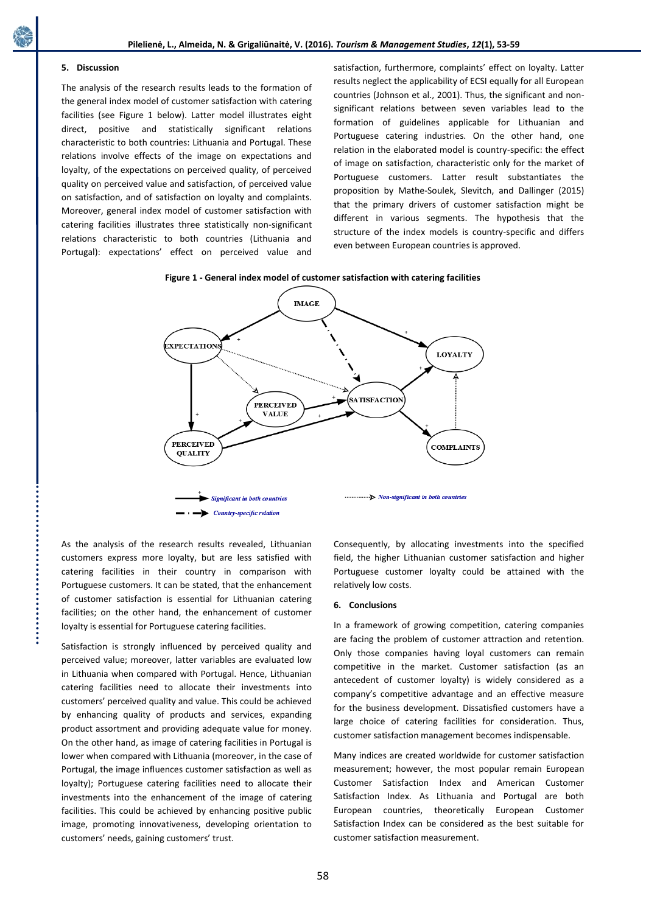# **5. Discussion**

The analysis of the research results leads to the formation of the general index model of customer satisfaction with catering facilities (see Figure 1 below). Latter model illustrates eight direct, positive and statistically significant relations characteristic to both countries: Lithuania and Portugal. These relations involve effects of the image on expectations and loyalty, of the expectations on perceived quality, of perceived quality on perceived value and satisfaction, of perceived value on satisfaction, and of satisfaction on loyalty and complaints. Moreover, general index model of customer satisfaction with catering facilities illustrates three statistically non-significant relations characteristic to both countries (Lithuania and Portugal): expectations' effect on perceived value and

satisfaction, furthermore, complaints' effect on loyalty. Latter results neglect the applicability of ECSI equally for all European countries (Johnson et al., 2001). Thus, the significant and nonsignificant relations between seven variables lead to the formation of guidelines applicable for Lithuanian and Portuguese catering industries. On the other hand, one relation in the elaborated model is country-specific: the effect of image on satisfaction, characteristic only for the market of Portuguese customers. Latter result substantiates the proposition by Mathe-Soulek, Slevitch, and Dallinger (2015) that the primary drivers of customer satisfaction might be different in various segments. The hypothesis that the structure of the index models is country-specific and differs even between European countries is approved.

## **Figure 1 - General index model of customer satisfaction with catering facilities**



As the analysis of the research results revealed, Lithuanian customers express more loyalty, but are less satisfied with catering facilities in their country in comparison with Portuguese customers. It can be stated, that the enhancement of customer satisfaction is essential for Lithuanian catering facilities; on the other hand, the enhancement of customer loyalty is essential for Portuguese catering facilities.

Satisfaction is strongly influenced by perceived quality and perceived value; moreover, latter variables are evaluated low in Lithuania when compared with Portugal. Hence, Lithuanian catering facilities need to allocate their investments into customers' perceived quality and value. This could be achieved by enhancing quality of products and services, expanding product assortment and providing adequate value for money. On the other hand, as image of catering facilities in Portugal is lower when compared with Lithuania (moreover, in the case of Portugal, the image influences customer satisfaction as well as loyalty); Portuguese catering facilities need to allocate their investments into the enhancement of the image of catering facilities. This could be achieved by enhancing positive public image, promoting innovativeness, developing orientation to customers' needs, gaining customers' trust.

Consequently, by allocating investments into the specified field, the higher Lithuanian customer satisfaction and higher Portuguese customer loyalty could be attained with the relatively low costs.

## **6. Conclusions**

In a framework of growing competition, catering companies are facing the problem of customer attraction and retention. Only those companies having loyal customers can remain competitive in the market. Customer satisfaction (as an antecedent of customer loyalty) is widely considered as a company's competitive advantage and an effective measure for the business development. Dissatisfied customers have a large choice of catering facilities for consideration. Thus, customer satisfaction management becomes indispensable.

Many indices are created worldwide for customer satisfaction measurement; however, the most popular remain European Customer Satisfaction Index and American Customer Satisfaction Index. As Lithuania and Portugal are both European countries, theoretically European Customer Satisfaction Index can be considered as the best suitable for customer satisfaction measurement.